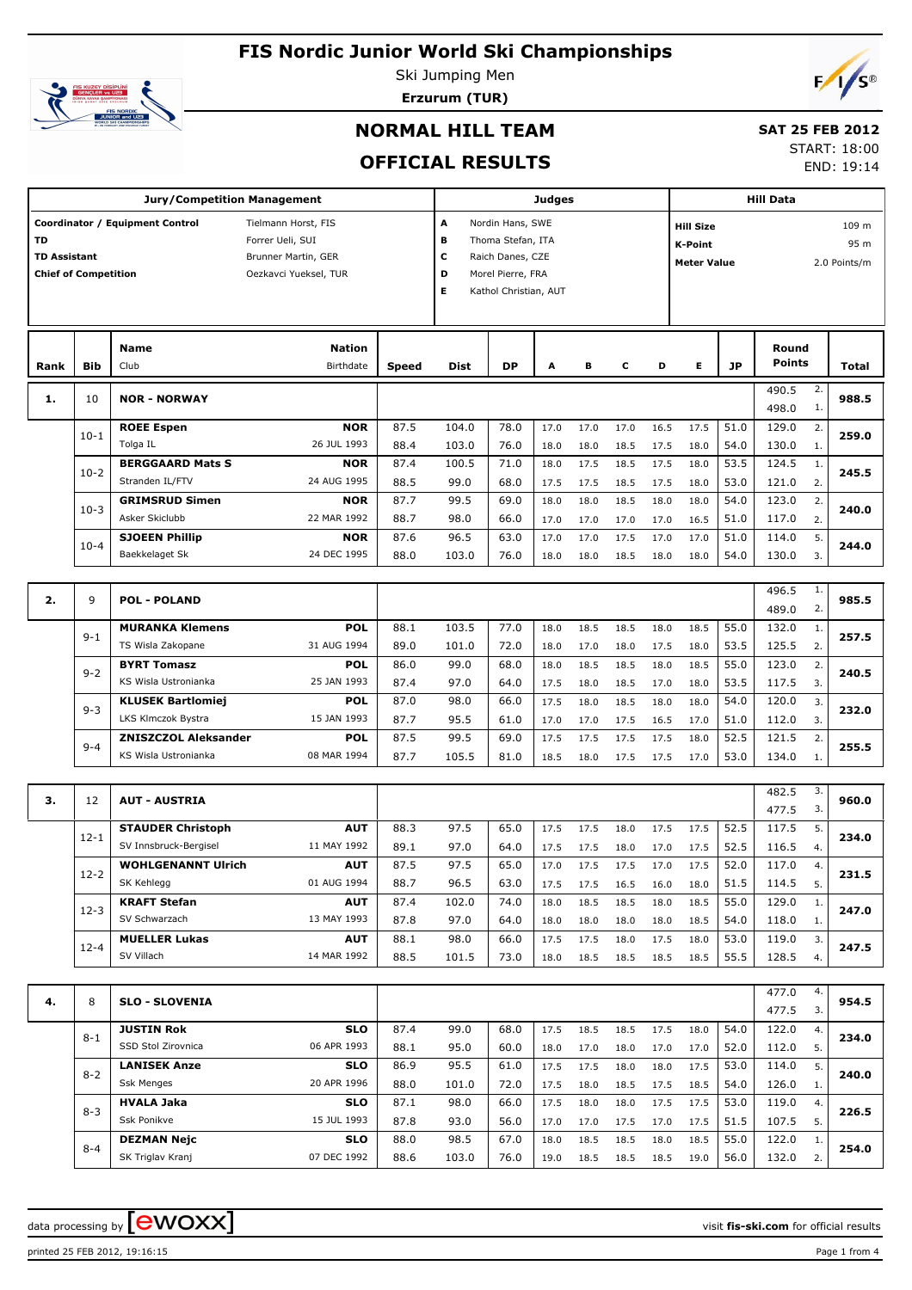

Ski Jumping Men



**Erzurum (TUR)**

### **NORMAL HILL TEAM**

# **SAT 25 FEB 2012**

**OFFICIAL RESULTS**

| 11 <i>L</i> y 1 LD ŁVIZ |  |  |  |
|-------------------------|--|--|--|
| START: 18:00            |  |  |  |

END: 19:14

|                                  |                                                | <b>Jury/Competition Management</b>                  |                                                                                         | <b>Judges</b> |                                                                                                                                  |              |              |              |              |              |              | <b>Hill Data</b> |                                                                                           |          |              |  |
|----------------------------------|------------------------------------------------|-----------------------------------------------------|-----------------------------------------------------------------------------------------|---------------|----------------------------------------------------------------------------------------------------------------------------------|--------------|--------------|--------------|--------------|--------------|--------------|------------------|-------------------------------------------------------------------------------------------|----------|--------------|--|
| <b>TD</b><br><b>TD Assistant</b> | <b>Chief of Competition</b>                    | Coordinator / Equipment Control                     | Tielmann Horst, FIS<br>Forrer Ueli, SUI<br>Brunner Martin, GER<br>Oezkavci Yueksel, TUR |               | A<br>Nordin Hans, SWE<br>В<br>Thoma Stefan, ITA<br>c<br>Raich Danes, CZE<br>D<br>Morel Pierre, FRA<br>Е<br>Kathol Christian, AUT |              |              |              |              |              |              |                  | 109 m<br><b>Hill Size</b><br><b>K-Point</b><br>95 m<br>2.0 Points/m<br><b>Meter Value</b> |          |              |  |
| Rank                             | Bib                                            | <b>Name</b><br>Club                                 | <b>Nation</b><br>Birthdate                                                              | <b>Speed</b>  | <b>Dist</b>                                                                                                                      | <b>DP</b>    | A            | в            | c            | D            | Е            | <b>JP</b>        | Round<br>Points                                                                           |          | <b>Total</b> |  |
| 1.                               | 10                                             | <b>NOR - NORWAY</b>                                 |                                                                                         |               |                                                                                                                                  |              |              |              |              |              |              |                  | 490.5<br>498.0                                                                            | 2.<br>1. | 988.5        |  |
|                                  | $10-1$                                         | <b>ROEE Espen</b><br>Tolga IL                       | <b>NOR</b><br>26 JUL 1993                                                               | 87.5<br>88.4  | 104.0<br>103.0                                                                                                                   | 78.0<br>76.0 | 17.0<br>18.0 | 17.0<br>18.0 | 17.0<br>18.5 | 16.5<br>17.5 | 17.5<br>18.0 | 51.0<br>54.0     | 129.0<br>130.0                                                                            | 2.<br>1. | 259.0        |  |
|                                  | $10-2$                                         | <b>BERGGAARD Mats S</b><br>Stranden IL/FTV          | <b>NOR</b><br>24 AUG 1995                                                               | 87.4<br>88.5  | 100.5<br>99.0                                                                                                                    | 71.0<br>68.0 | 18.0<br>17.5 | 17.5<br>17.5 | 18.5<br>18.5 | 17.5<br>17.5 | 18.0<br>18.0 | 53.5<br>53.0     | 124.5<br>121.0                                                                            | 1.<br>2. | 245.5        |  |
|                                  | $10-3$                                         | <b>GRIMSRUD Simen</b><br>Asker Skiclubb             | <b>NOR</b><br>22 MAR 1992                                                               | 87.7<br>88.7  | 99.5<br>98.0                                                                                                                     | 69.0<br>66.0 | 18.0<br>17.0 | 18.0<br>17.0 | 18.5<br>17.0 | 18.0<br>17.0 | 18.0<br>16.5 | 54.0<br>51.0     | 123.0<br>117.0                                                                            | 2.<br>2. | 240.0        |  |
|                                  | $10 - 4$                                       | <b>SJOEEN Phillip</b><br>Baekkelaget Sk             | <b>NOR</b><br>24 DEC 1995                                                               | 87.6<br>88.0  | 96.5<br>103.0                                                                                                                    | 63.0<br>76.0 | 17.0<br>18.0 | 17.0<br>18.0 | 17.5<br>18.5 | 17.0<br>18.0 | 17.0<br>18.0 | 51.0<br>54.0     | 114.0<br>130.0                                                                            | 5.<br>3. | 244.0        |  |
|                                  |                                                |                                                     |                                                                                         |               |                                                                                                                                  |              |              |              |              |              |              |                  |                                                                                           |          |              |  |
| 2.                               | 9                                              | <b>POL - POLAND</b>                                 |                                                                                         |               |                                                                                                                                  |              |              |              |              |              |              |                  | 496.5<br>489.0                                                                            | 1.<br>2. | 985.5        |  |
|                                  | $9 - 1$                                        | <b>MURANKA Klemens</b>                              | <b>POL</b>                                                                              | 88.1          | 103.5                                                                                                                            | 77.0         | 18.0         | 18.5         | 18.5         | 18.0         | 18.5         | 55.0             | 132.0                                                                                     | 1.       | 257.5        |  |
|                                  |                                                | TS Wisla Zakopane<br><b>BYRT Tomasz</b>             | 31 AUG 1994<br><b>POL</b>                                                               | 89.0<br>86.0  | 101.0<br>99.0                                                                                                                    | 72.0<br>68.0 | 18.0<br>18.0 | 17.0<br>18.5 | 18.0<br>18.5 | 17.5<br>18.0 | 18.0<br>18.5 | 53.5<br>55.0     | 125.5<br>123.0                                                                            | 2.<br>2. |              |  |
|                                  | $9 - 2$                                        | KS Wisla Ustronianka                                | 87.4                                                                                    | 97.0          | 64.0                                                                                                                             | 17.5         | 18.0         | 18.5         | 17.0         | 18.0         | 53.5         | 117.5            | 3.                                                                                        | 240.5    |              |  |
|                                  | $9 - 3$                                        | <b>KLUSEK Bartlomiej</b><br>LKS Klmczok Bystra      | <b>POL</b><br>15 JAN 1993                                                               | 87.0<br>87.7  | 98.0<br>95.5                                                                                                                     | 66.0<br>61.0 | 17.5<br>17.0 | 18.0<br>17.0 | 18.5<br>17.5 | 18.0<br>16.5 | 18.0<br>17.0 | 54.0<br>51.0     | 120.0<br>112.0                                                                            | 3.<br>3. | 232.0        |  |
|                                  | $9 - 4$                                        | <b>ZNISZCZOL Aleksander</b><br>KS Wisla Ustronianka | <b>POL</b><br>08 MAR 1994                                                               | 87.5<br>87.7  | 99.5<br>105.5                                                                                                                    | 69.0<br>81.0 | 17.5<br>18.5 | 17.5<br>18.0 | 17.5<br>17.5 | 17.5<br>17.5 | 18.0<br>17.0 | 52.5<br>53.0     | 121.5<br>134.0                                                                            | 2.<br>1. | 255.5        |  |
|                                  |                                                |                                                     |                                                                                         |               |                                                                                                                                  |              |              |              |              |              |              |                  |                                                                                           |          |              |  |
| з.                               | 12                                             | <b>AUT - AUSTRIA</b>                                |                                                                                         |               |                                                                                                                                  |              |              |              |              |              |              |                  | 482.5<br>477.5                                                                            | 3.<br>3. | 960.0        |  |
|                                  | $12 - 1$                                       | <b>STAUDER Christoph</b>                            | <b>AUT</b>                                                                              | 88.3          | 97.5                                                                                                                             | 65.0         | 17.5         | 17.5         | 18.0         | 17.5         | 17.5         | 52.5             | 117.5                                                                                     | 5.       | 234.0        |  |
|                                  |                                                | SV Innsbruck-Bergisel<br><b>WOHLGENANNT Ulrich</b>  | 11 MAY 1992<br><b>AUT</b>                                                               | 89.1<br>87.5  | 97.0<br>97.5                                                                                                                     | 64.0<br>65.0 | 17.5<br>17.0 | 17.5<br>17.5 | 18.0<br>17.5 | 17.0<br>17.0 | 17.5<br>17.5 | 52.5<br>52.0     | 116.5<br>117.0                                                                            | 4.<br>4. |              |  |
|                                  | $12 - 2$                                       | SK Kehlegg<br><b>KRAFT Stefan</b>                   | 01 AUG 1994<br><b>AUT</b>                                                               | 88.7<br>87.4  | 96.5<br>102.0                                                                                                                    | 63.0<br>74.0 | 17.5<br>18.0 | 17.5<br>18.5 | 16.5<br>18.5 | 16.0<br>18.0 | 18.0<br>18.5 | 51.5<br>55.0     | 114.5<br>129.0                                                                            | 5.<br>1. | 231.5        |  |
|                                  | $12-3$                                         | SV Schwarzach                                       | 13 MAY 1993                                                                             | 87.8          | 97.0                                                                                                                             | 64.0         | 18.0         | 18.0         | 18.0         | 18.0         | 18.5         | 54.0             | 118.0                                                                                     | 1.       | 247.0        |  |
|                                  | $12 - 4$                                       | <b>MUELLER Lukas</b><br>SV Villach                  | <b>AUT</b><br>14 MAR 1992                                                               | 88.1<br>88.5  | 98.0<br>101.5                                                                                                                    | 66.0<br>73.0 | 17.5<br>18.0 | 17.5<br>18.5 | 18.0<br>18.5 | 17.5<br>18.5 | 18.0<br>18.5 | 53.0<br>55.5     | 119.0<br>128.5                                                                            | 3.<br>4. | 247.5        |  |
| 4.                               | 8                                              | <b>SLO - SLOVENIA</b>                               |                                                                                         |               |                                                                                                                                  |              |              |              |              |              |              |                  | 477.0<br>477.5                                                                            | 4.<br>3. | 954.5        |  |
|                                  | $8 - 1$                                        | <b>JUSTIN Rok</b><br>SSD Stol Zirovnica             | <b>SLO</b><br>06 APR 1993                                                               | 87.4<br>88.1  | 99.0<br>95.0                                                                                                                     | 68.0<br>60.0 | 17.5<br>18.0 | 18.5<br>17.0 | 18.5<br>18.0 | 17.5<br>17.0 | 18.0<br>17.0 | 54.0<br>52.0     | 122.0<br>112.0                                                                            | 4.<br>5. | 234.0        |  |
|                                  | $8 - 2$                                        | <b>LANISEK Anze</b><br><b>Ssk Menges</b>            | 86.9<br>88.0                                                                            | 95.5          | 61.0                                                                                                                             | 17.5         | 17.5         | 18.0         | 18.0         | 17.5         | 53.0         | 114.0            | 5.                                                                                        | 240.0    |              |  |
|                                  | 20 APR 1996<br><b>HVALA Jaka</b><br><b>SLO</b> |                                                     |                                                                                         |               | 101.0<br>98.0                                                                                                                    | 72.0<br>66.0 | 17.5<br>17.5 | 18.0<br>18.0 | 18.5<br>18.0 | 17.5<br>17.5 | 18.5<br>17.5 | 54.0<br>53.0     | 126.0<br>119.0                                                                            | 1.<br>4. |              |  |
|                                  | $8 - 3$<br>Ssk Ponikve<br>15 JUL 1993          |                                                     |                                                                                         |               | 93.0                                                                                                                             | 56.0         | 17.0         | 17.0         | 17.5         | 17.0         | 17.5         | 51.5             | 107.5                                                                                     | 5.       | 226.5        |  |
|                                  | 8-4                                            | <b>DEZMAN Nejc</b><br>SK Triglav Kranj              | <b>SLO</b><br>07 DEC 1992                                                               | 88.0<br>88.6  | 98.5<br>103.0                                                                                                                    | 67.0<br>76.0 | 18.0<br>19.0 | 18.5<br>18.5 | 18.5<br>18.5 | 18.0<br>18.5 | 18.5<br>19.0 | 55.0<br>56.0     | 122.0<br>132.0                                                                            | 1.<br>2. | 254.0        |  |

printed 25 FEB 2012, 19:16:15 Page 1 from 4

data processing by **CWOXX**  $\blacksquare$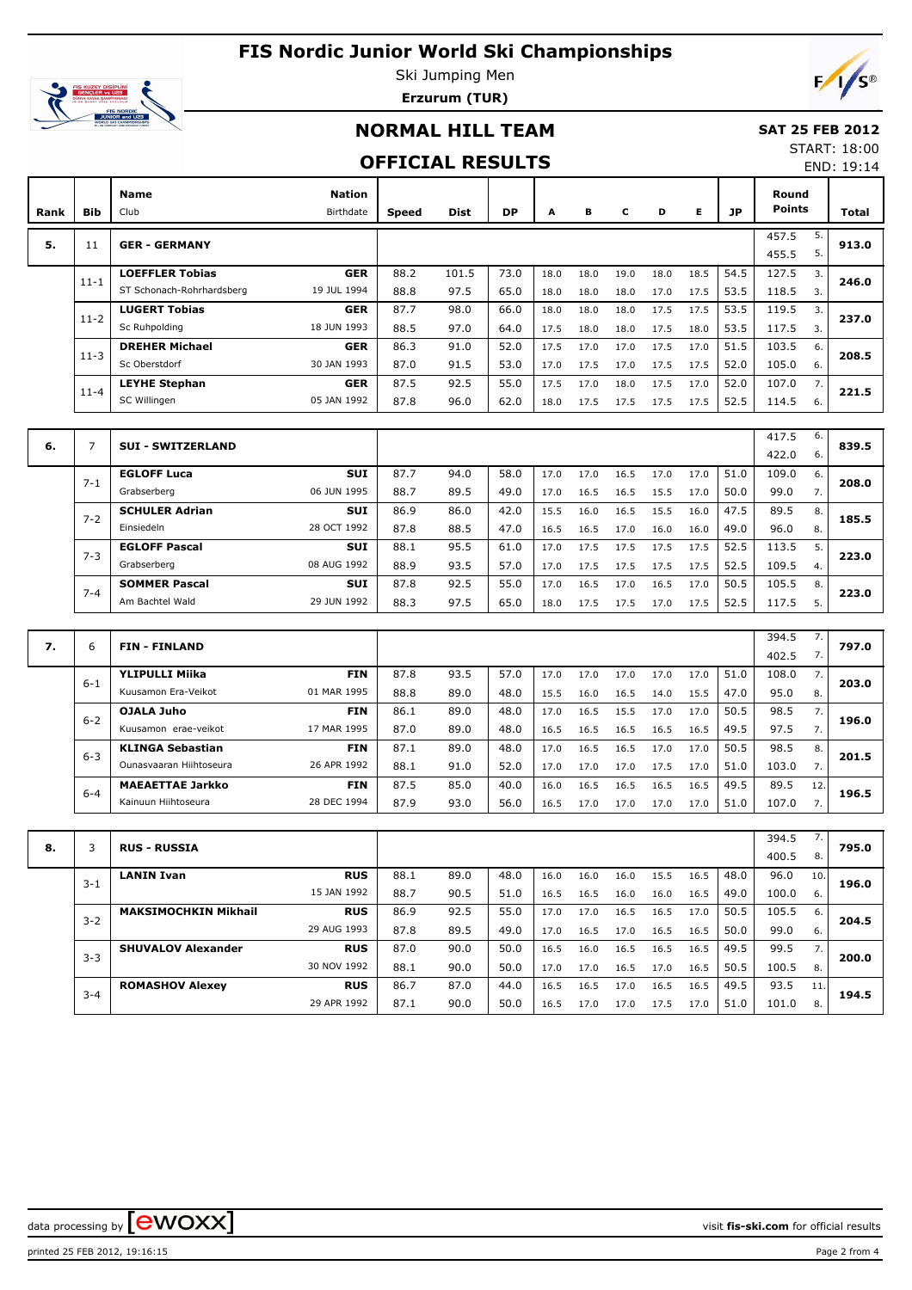

Ski Jumping Men **Erzurum (TUR)**

## **NORMAL HILL TEAM**

#### **SAT 25 FEB 2012** START: 18:00

### **OFFICIAL RESULTS**

END: 19:14

 $F/\sqrt{s^{\circ}}$ 

| Rank | <b>Bib</b> | Name<br>Club                                        | <b>Nation</b><br>Birthdate | <b>Speed</b> | <b>Dist</b>   | DP           | A            | в            | C            | D            | Е            | JP           | Round<br><b>Points</b> |          | Total |
|------|------------|-----------------------------------------------------|----------------------------|--------------|---------------|--------------|--------------|--------------|--------------|--------------|--------------|--------------|------------------------|----------|-------|
| 5.   | 11         | <b>GER - GERMANY</b>                                |                            |              |               |              |              |              |              |              |              |              | 457.5<br>455.5         | 5.<br>5. | 913.0 |
|      | $11 - 1$   | <b>LOEFFLER Tobias</b><br>ST Schonach-Rohrhardsberg | <b>GER</b><br>19 JUL 1994  | 88.2<br>88.8 | 101.5<br>97.5 | 73.0<br>65.0 | 18.0<br>18.0 | 18.0<br>18.0 | 19.0<br>18.0 | 18.0<br>17.0 | 18.5<br>17.5 | 54.5<br>53.5 | 127.5<br>118.5         | 3.<br>3. | 246.0 |
|      | $11 - 2$   | <b>LUGERT Tobias</b><br>Sc Ruhpolding               | <b>GER</b><br>18 JUN 1993  | 87.7<br>88.5 | 98.0<br>97.0  | 66.0<br>64.0 | 18.0<br>17.5 | 18.0<br>18.0 | 18.0<br>18.0 | 17.5<br>17.5 | 17.5<br>18.0 | 53.5<br>53.5 | 119.5<br>117.5         | 3.<br>3. | 237.0 |
|      | $11 - 3$   | <b>DREHER Michael</b><br>Sc Oberstdorf              | <b>GER</b><br>30 JAN 1993  | 86.3<br>87.0 | 91.0<br>91.5  | 52.0<br>53.0 | 17.5<br>17.0 | 17.0<br>17.5 | 17.0<br>17.0 | 17.5<br>17.5 | 17.0<br>17.5 | 51.5<br>52.0 | 103.5<br>105.0         | 6.<br>6. | 208.5 |
|      | $11 - 4$   | <b>LEYHE Stephan</b><br>SC Willingen                | <b>GER</b><br>05 JAN 1992  | 87.5<br>87.8 | 92.5<br>96.0  | 55.0<br>62.0 | 17.5<br>18.0 | 17.0<br>17.5 | 18.0<br>17.5 | 17.5<br>17.5 | 17.0<br>17.5 | 52.0<br>52.5 | 107.0<br>114.5         | 7.<br>6. | 221.5 |

| 6. |         | <b>SUI - SWITZERLAND</b> |             |      |      |      |      |      |      |      |      |      | 417.5 | 6. | 839.5 |
|----|---------|--------------------------|-------------|------|------|------|------|------|------|------|------|------|-------|----|-------|
|    |         |                          |             |      |      |      |      |      |      |      |      |      | 422.0 | 6. |       |
|    | $7 - 1$ | <b>EGLOFF Luca</b>       | <b>SUI</b>  | 87.7 | 94.0 | 58.0 | 17.0 | 17.0 | 16.5 | 17.0 | 17.0 | 51.0 | 109.0 | 6. | 208.0 |
|    |         | Grabserberg              | 06 JUN 1995 | 88.7 | 89.5 | 49.0 | 17.0 | 16.5 | 16.5 | 15.5 | 17.0 | 50.0 | 99.0  | 7. |       |
|    |         | <b>SCHULER Adrian</b>    | <b>SUI</b>  | 86.9 | 86.0 | 42.0 | 15.5 | 16.0 | 16.5 | 15.5 | 16.0 | 47.5 | 89.5  | 8. |       |
|    | $7 - 2$ | Einsiedeln               | 28 OCT 1992 | 87.8 | 88.5 | 47.0 | 16.5 | 16.5 | 17.0 | 16.0 | 16.0 | 49.0 | 96.0  | 8. | 185.5 |
|    | $7 - 3$ | <b>EGLOFF Pascal</b>     | <b>SUI</b>  | 88.1 | 95.5 | 61.0 | 17.0 | 17.5 | 17.5 | 17.5 | 17.5 | 52.5 | 113.5 | 5. |       |
|    |         | Grabserberg              | 08 AUG 1992 | 88.9 | 93.5 | 57.0 | 17.0 | 17.5 | 17.5 | 17.5 | 17.5 | 52.5 | 109.5 | 4. | 223.0 |
|    | $7 - 4$ | <b>SOMMER Pascal</b>     | <b>SUI</b>  | 87.8 | 92.5 | 55.0 | 17.0 | 16.5 | 17.0 | 16.5 | 17.0 | 50.5 | 105.5 | 8. |       |
|    |         | Am Bachtel Wald          | 29 JUN 1992 | 88.3 | 97.5 | 65.0 | 18.0 | 17.5 | 17.5 | 17.0 | 17.5 | 52.5 | 117.5 | 5. | 223.0 |

| 7. | 6       | <b>FIN-FINLAND</b>      |             |      |      |      |      |      |      |      |      |      | 394.5 | $\prime$ . | 797.0 |
|----|---------|-------------------------|-------------|------|------|------|------|------|------|------|------|------|-------|------------|-------|
|    |         |                         |             |      |      |      |      |      |      |      |      |      | 402.5 | 7.         |       |
|    | $6 - 1$ | <b>YLIPULLI Miika</b>   | <b>FIN</b>  | 87.8 | 93.5 | 57.0 | 17.0 | 17.0 | 17.0 | 17.0 | 17.0 | 51.0 | 108.0 | 7.         | 203.0 |
|    |         | Kuusamon Era-Veikot     | 01 MAR 1995 | 88.8 | 89.0 | 48.0 | 15.5 | 16.0 | 16.5 | 14.0 | 15.5 | 47.0 | 95.0  | 8.         |       |
|    | $6 - 2$ | OJALA Juho              | <b>FIN</b>  | 86.1 | 89.0 | 48.0 | 17.0 | 16.5 | 15.5 | 17.0 | 17.0 | 50.5 | 98.5  | 7.         | 196.0 |
|    |         | Kuusamon erae-veikot    | 17 MAR 1995 | 87.0 | 89.0 | 48.0 | 16.5 | 16.5 | 16.5 | 16.5 | 16.5 | 49.5 | 97.5  | 7.         |       |
|    | $6 - 3$ | <b>KLINGA Sebastian</b> | <b>FIN</b>  | 87.1 | 89.0 | 48.0 | 17.0 | 16.5 | 16.5 | 17.0 | 17.0 | 50.5 | 98.5  | 8.         | 201.5 |
|    |         | Ounasyaaran Hiihtoseura | 26 APR 1992 | 88.1 | 91.0 | 52.0 | 17.0 | 17.0 | 17.0 | 17.5 | 17.0 | 51.0 | 103.0 | 7.         |       |
|    | $6 - 4$ | <b>MAEAETTAE Jarkko</b> | <b>FIN</b>  | 87.5 | 85.0 | 40.0 | 16.0 | 16.5 | 16.5 | 16.5 | 16.5 | 49.5 | 89.5  | 12.        | 196.5 |
|    |         | Kainuun Hiihtoseura     | 28 DEC 1994 | 87.9 | 93.0 | 56.0 | 16.5 | 17.0 | 17.0 | 17.0 | 17.0 | 51.0 | 107.0 |            |       |

| 8. |         | <b>RUS - RUSSIA</b>         |             |      |      |      |      |      |      |      |      |      | 394.5 | 7.  | 795.0 |
|----|---------|-----------------------------|-------------|------|------|------|------|------|------|------|------|------|-------|-----|-------|
|    |         |                             |             |      |      |      |      |      |      |      |      |      | 400.5 | 8.  |       |
|    | $3 - 1$ | <b>LANIN Ivan</b>           | <b>RUS</b>  | 88.1 | 89.0 | 48.0 | 16.0 | 16.0 | 16.0 | 15.5 | 16.5 | 48.0 | 96.0  | 10. | 196.0 |
|    |         |                             | 15 JAN 1992 | 88.7 | 90.5 | 51.0 | 16.5 | 16.5 | 16.0 | 16.0 | 16.5 | 49.0 | 100.0 | 6.  |       |
|    |         | <b>MAKSIMOCHKIN Mikhail</b> | <b>RUS</b>  | 86.9 | 92.5 | 55.0 | 17.0 | 17.0 | 16.5 | 16.5 | 17.0 | 50.5 | 105.5 | 6.  | 204.5 |
|    | $3 - 2$ |                             | 29 AUG 1993 | 87.8 | 89.5 | 49.0 | 17.0 | 16.5 | 17.0 | 16.5 | 16.5 | 50.0 | 99.0  | 6.  |       |
|    | $3 - 3$ | <b>SHUVALOV Alexander</b>   | <b>RUS</b>  | 87.0 | 90.0 | 50.0 | 16.5 | 16.0 | 16.5 | 16.5 | 16.5 | 49.5 | 99.5  | 7.  | 200.0 |
|    |         |                             | 30 NOV 1992 | 88.1 | 90.0 | 50.0 | 17.0 | 17.0 | 16.5 | 17.0 | 16.5 | 50.5 | 100.5 | 8.  |       |
|    | $3 - 4$ | <b>ROMASHOV Alexey</b>      | <b>RUS</b>  | 86.7 | 87.0 | 44.0 | 16.5 | 16.5 | 17.0 | 16.5 | 16.5 | 49.5 | 93.5  | 11. | 194.5 |
|    |         |                             | 29 APR 1992 | 87.1 | 90.0 | 50.0 | 16.5 | 17.0 | 17.0 | 17.5 | 17.0 | 51.0 | 101.0 | 8.  |       |

data processing by **CWOXX** and  $\blacksquare$  and  $\blacksquare$  and  $\blacksquare$  and  $\blacksquare$  and  $\blacksquare$  and  $\blacksquare$  and  $\blacksquare$  and  $\blacksquare$  and  $\blacksquare$  and  $\blacksquare$  and  $\blacksquare$  and  $\blacksquare$  and  $\blacksquare$  and  $\blacksquare$  and  $\blacksquare$  and  $\blacksquare$  and  $\blacksquare$  and  $\blacks$ 

printed 25 FEB 2012, 19:16:15 Page 2 from 4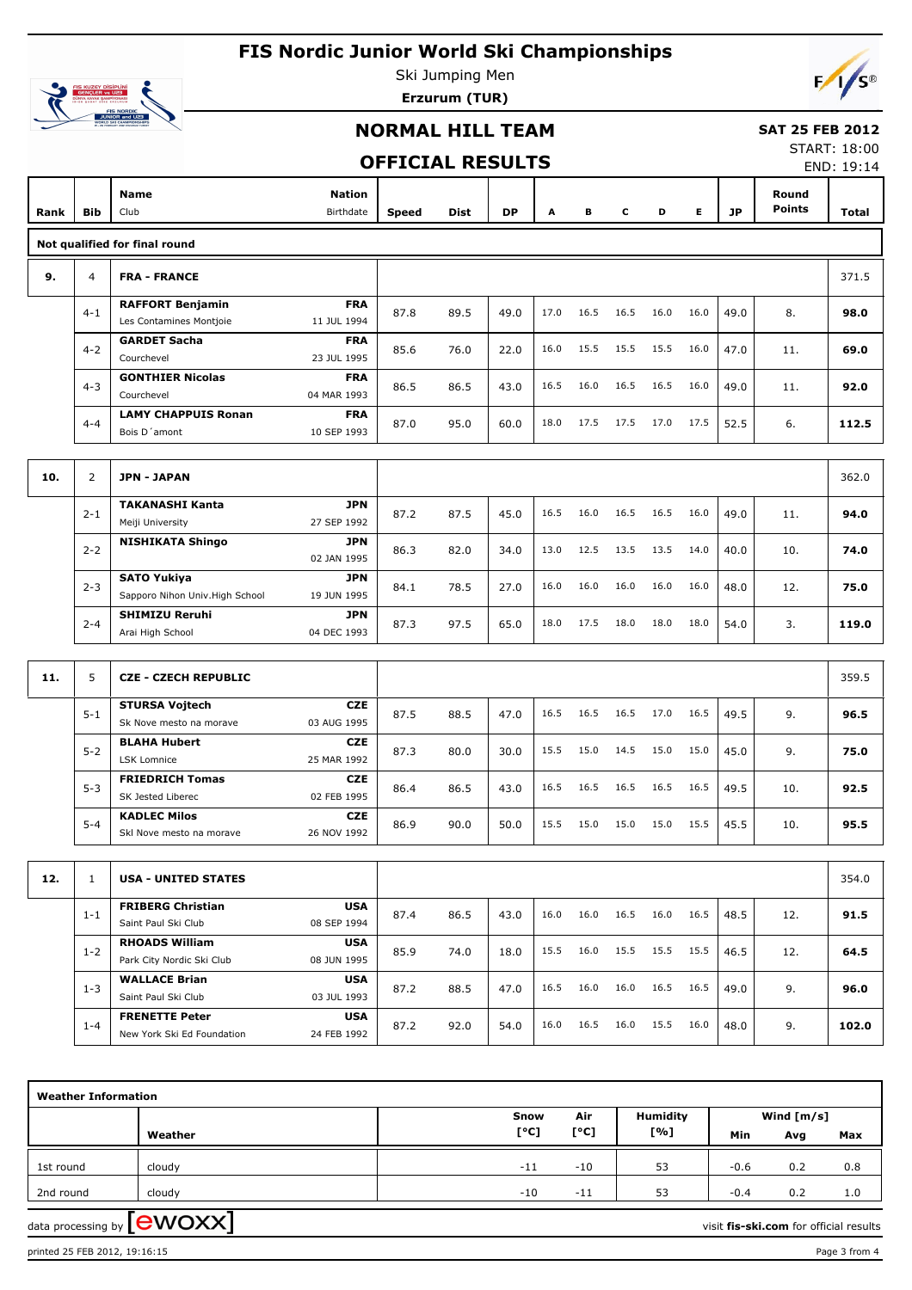

Ski Jumping Men **Erzurum (TUR)**

### **NORMAL HILL TEAM**

#### **SAT 25 FEB 2012**

### **OFFICIAL RESULTS**

START: 18:00 END: 19:14

| Rank | Bib            | <b>Name</b><br>Club                                                                   | Nation<br>Birthdate       | Speed | Dist | <b>DP</b> | A    | В    | c    | D    | Е    | JP   | Round<br><b>Points</b> | Total |
|------|----------------|---------------------------------------------------------------------------------------|---------------------------|-------|------|-----------|------|------|------|------|------|------|------------------------|-------|
|      |                | Not qualified for final round                                                         |                           |       |      |           |      |      |      |      |      |      |                        |       |
| 9.   | 4              | <b>FRA - FRANCE</b>                                                                   |                           |       |      |           |      |      |      |      |      |      |                        | 371.5 |
|      | $4 - 1$        | <b>RAFFORT Benjamin</b><br>Les Contamines Montjoie                                    | <b>FRA</b><br>11 JUL 1994 | 87.8  | 89.5 | 49.0      | 17.0 | 16.5 | 16.5 | 16.0 | 16.0 | 49.0 | 8.                     | 98.0  |
|      | $4 - 2$        | <b>GARDET Sacha</b><br>Courchevel                                                     | <b>FRA</b><br>23 JUL 1995 | 85.6  | 76.0 | 22.0      | 16.0 | 15.5 | 15.5 | 15.5 | 16.0 | 47.0 | 11.                    | 69.0  |
|      | $4 - 3$        | <b>GONTHIER Nicolas</b><br>Courchevel<br>04 MAR 1993                                  | <b>FRA</b>                | 86.5  | 86.5 | 43.0      | 16.5 | 16.0 | 16.5 | 16.5 | 16.0 | 49.0 | 11.                    | 92.0  |
|      | $4 - 4$        | <b>LAMY CHAPPUIS Ronan</b><br>Bois D'amont                                            | <b>FRA</b><br>10 SEP 1993 | 87.0  | 95.0 | 60.0      | 18.0 | 17.5 | 17.5 | 17.0 | 17.5 | 52.5 | 6.                     | 112.5 |
|      |                |                                                                                       |                           |       |      |           |      |      |      |      |      |      |                        |       |
| 10.  | $\overline{2}$ | <b>JPN - JAPAN</b>                                                                    |                           |       |      |           |      |      |      |      |      |      |                        | 362.0 |
|      | $2 - 1$        | <b>TAKANASHI Kanta</b><br>Meiji University                                            | <b>JPN</b><br>27 SEP 1992 | 87.2  | 87.5 | 45.0      | 16.5 | 16.0 | 16.5 | 16.5 | 16.0 | 49.0 | 11.                    | 94.0  |
|      | $2 - 2$        | <b>NISHIKATA Shingo</b>                                                               | <b>JPN</b><br>02 JAN 1995 | 86.3  | 82.0 | 34.0      | 13.0 | 12.5 | 13.5 | 13.5 | 14.0 | 40.0 | 10.                    | 74.0  |
|      | $2 - 3$        | <b>SATO Yukiya</b><br>Sapporo Nihon Univ. High School                                 | <b>JPN</b>                | 84.1  | 78.5 | 27.0      | 16.0 | 16.0 | 16.0 | 16.0 | 16.0 | 48.0 | 12.                    | 75.0  |
|      | $2 - 4$        | 19 JUN 1995<br><b>SHIMIZU Reruhi</b><br><b>JPN</b><br>04 DEC 1993<br>Arai High School |                           | 87.3  | 97.5 | 65.0      | 18.0 | 17.5 | 18.0 | 18.0 | 18.0 | 54.0 | 3.                     | 119.0 |
|      |                |                                                                                       |                           |       |      |           |      |      |      |      |      |      |                        |       |
| 11.  | 5              | <b>CZE - CZECH REPUBLIC</b>                                                           |                           |       |      |           |      |      |      |      |      |      |                        | 359.5 |
|      | $5 - 1$        | <b>STURSA Vojtech</b><br>03 AUG 1995<br>Sk Nove mesto na morave                       | <b>CZE</b>                | 87.5  | 88.5 | 47.0      | 16.5 | 16.5 | 16.5 | 17.0 | 16.5 | 49.5 | 9.                     | 96.5  |
|      | $5 - 2$        | <b>BLAHA Hubert</b><br><b>LSK Lomnice</b><br>25 MAR 1992                              | <b>CZE</b>                | 87.3  | 80.0 | 30.0      | 15.5 | 15.0 | 14.5 | 15.0 | 15.0 | 45.0 | 9.                     | 75.0  |
|      | $5 - 3$        | <b>FRIEDRICH Tomas</b><br>SK Jested Liberec                                           | <b>CZE</b><br>02 FEB 1995 | 86.4  | 86.5 | 43.0      | 16.5 | 16.5 | 16.5 | 16.5 | 16.5 | 49.5 | 10.                    | 92.5  |
|      | $5 - 4$        | <b>KADLEC Milos</b><br>26 NOV 1992<br>Skl Nove mesto na morave                        | <b>CZE</b>                | 86.9  | 90.0 | 50.0      | 15.5 | 15.0 | 15.0 | 15.0 | 15.5 | 45.5 | 10.                    | 95.5  |
|      |                |                                                                                       |                           |       |      |           |      |      |      |      |      |      |                        |       |
| 12.  | $\mathbf{1}$   | <b>USA - UNITED STATES</b>                                                            |                           |       |      |           |      |      |      |      |      |      |                        | 354.0 |
|      | $1 - 1$        | <b>FRIBERG Christian</b><br>Saint Paul Ski Club                                       | <b>USA</b><br>08 SEP 1994 | 87.4  | 86.5 | 43.0      | 16.0 | 16.0 | 16.5 | 16.0 | 16.5 | 48.5 | 12.                    | 91.5  |
|      | $1 - 2$        | <b>RHOADS William</b><br>Park City Nordic Ski Club                                    | <b>USA</b><br>08 JUN 1995 | 85.9  | 74.0 | 18.0      | 15.5 | 16.0 | 15.5 | 15.5 | 15.5 | 46.5 | 12.                    | 64.5  |
|      | $1 - 3$        | <b>WALLACE Brian</b><br>Saint Paul Ski Club                                           | <b>USA</b><br>03 JUL 1993 | 87.2  | 88.5 | 47.0      | 16.5 | 16.0 | 16.0 | 16.5 | 16.5 | 49.0 | 9.                     | 96.0  |
|      | $1 - 4$        | <b>FRENETTE Peter</b><br>New York Ski Ed Foundation                                   | <b>USA</b><br>24 FEB 1992 | 87.2  | 92.0 | 54.0      | 16.0 | 16.5 | 16.0 | 15.5 | 16.0 | 48.0 | 9.                     | 102.0 |

| <b>Weather Information</b> |                                                                             |  |                                 |       |                 |        |              |     |  |  |  |
|----------------------------|-----------------------------------------------------------------------------|--|---------------------------------|-------|-----------------|--------|--------------|-----|--|--|--|
|                            |                                                                             |  | Snow                            | Air   | <b>Humidity</b> |        | Wind $[m/s]$ |     |  |  |  |
|                            | Weather                                                                     |  | $\mathsf{I}^\circ \mathsf{C}$ ] | [°C]  | [%]             | Min    | Avg          | Max |  |  |  |
| 1st round                  | cloudy                                                                      |  | $-11$                           | $-10$ | 53              | $-0.6$ | 0.2          | 0.8 |  |  |  |
| 2nd round                  | cloudy                                                                      |  | $-10$                           | $-11$ | 53              | $-0.4$ | 0.2          | 1.0 |  |  |  |
|                            | data processing by <b>[CWOXX]</b><br>visit fis-ski.com for official results |  |                                 |       |                 |        |              |     |  |  |  |